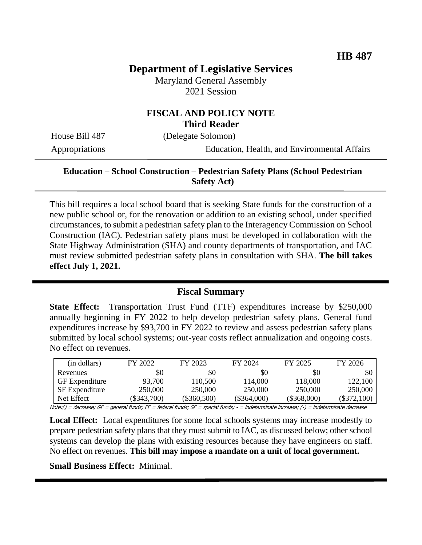# **Department of Legislative Services**

Maryland General Assembly 2021 Session

### **FISCAL AND POLICY NOTE Third Reader**

House Bill 487 (Delegate Solomon)

Appropriations Education, Health, and Environmental Affairs

### **Education – School Construction – Pedestrian Safety Plans (School Pedestrian Safety Act)**

This bill requires a local school board that is seeking State funds for the construction of a new public school or, for the renovation or addition to an existing school, under specified circumstances, to submit a pedestrian safety plan to the Interagency Commission on School Construction (IAC). Pedestrian safety plans must be developed in collaboration with the State Highway Administration (SHA) and county departments of transportation, and IAC must review submitted pedestrian safety plans in consultation with SHA. **The bill takes effect July 1, 2021.**

#### **Fiscal Summary**

**State Effect:** Transportation Trust Fund (TTF) expenditures increase by \$250,000 annually beginning in FY 2022 to help develop pedestrian safety plans. General fund expenditures increase by \$93,700 in FY 2022 to review and assess pedestrian safety plans submitted by local school systems; out-year costs reflect annualization and ongoing costs. No effect on revenues.

| (in dollars)                                                                                                                        | FY 2022       | FY 2023     | FY 2024       | FY 2025       | FY 2026     |
|-------------------------------------------------------------------------------------------------------------------------------------|---------------|-------------|---------------|---------------|-------------|
| Revenues                                                                                                                            | \$0           | \$0         | \$0           | \$0           | \$0         |
| <b>GF</b> Expenditure                                                                                                               | 93.700        | 110,500     | 114.000       | 118,000       | 122,100     |
| SF Expenditure                                                                                                                      | 250,000       | 250,000     | 250,000       | 250,000       | 250,000     |
| Net Effect                                                                                                                          | $(\$343,700)$ | (\$360,500) | $(\$364,000)$ | $(\$368,000)$ | (\$372,100) |
| Ueto () — decreese CE — senaral funda: EE — federal funda: CE — special funda: — indetarminate inquesce () — indeterminate decreese |               |             |               |               |             |

Note:() = decrease; GF = general funds; FF = federal funds; SF = special funds; - = indeterminate increase; (-) = indeterminate decrease

**Local Effect:** Local expenditures for some local schools systems may increase modestly to prepare pedestrian safety plans that they must submit to IAC, as discussed below; other school systems can develop the plans with existing resources because they have engineers on staff. No effect on revenues. **This bill may impose a mandate on a unit of local government.**

**Small Business Effect:** Minimal.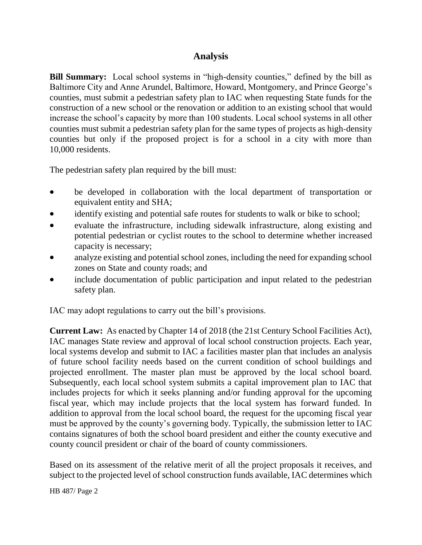## **Analysis**

**Bill Summary:** Local school systems in "high-density counties," defined by the bill as Baltimore City and Anne Arundel, Baltimore, Howard, Montgomery, and Prince George's counties, must submit a pedestrian safety plan to IAC when requesting State funds for the construction of a new school or the renovation or addition to an existing school that would increase the school's capacity by more than 100 students. Local school systems in all other counties must submit a pedestrian safety plan for the same types of projects as high-density counties but only if the proposed project is for a school in a city with more than 10,000 residents.

The pedestrian safety plan required by the bill must:

- be developed in collaboration with the local department of transportation or equivalent entity and SHA;
- identify existing and potential safe routes for students to walk or bike to school;
- evaluate the infrastructure, including sidewalk infrastructure, along existing and potential pedestrian or cyclist routes to the school to determine whether increased capacity is necessary;
- analyze existing and potential school zones, including the need for expanding school zones on State and county roads; and
- include documentation of public participation and input related to the pedestrian safety plan.

IAC may adopt regulations to carry out the bill's provisions.

**Current Law:** As enacted by Chapter 14 of 2018 (the 21st Century School Facilities Act), IAC manages State review and approval of local school construction projects. Each year, local systems develop and submit to IAC a facilities master plan that includes an analysis of future school facility needs based on the current condition of school buildings and projected enrollment. The master plan must be approved by the local school board. Subsequently, each local school system submits a capital improvement plan to IAC that includes projects for which it seeks planning and/or funding approval for the upcoming fiscal year, which may include projects that the local system has forward funded. In addition to approval from the local school board, the request for the upcoming fiscal year must be approved by the county's governing body. Typically, the submission letter to IAC contains signatures of both the school board president and either the county executive and county council president or chair of the board of county commissioners.

Based on its assessment of the relative merit of all the project proposals it receives, and subject to the projected level of school construction funds available, IAC determines which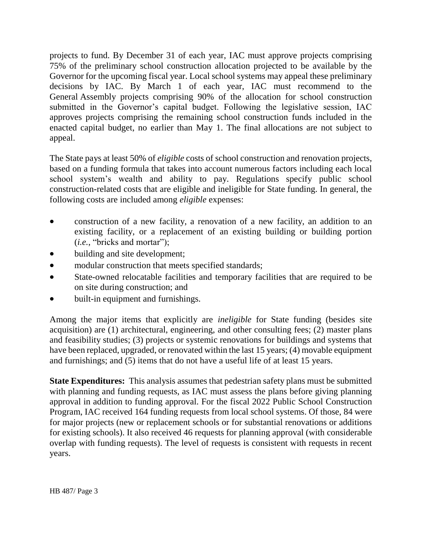projects to fund. By December 31 of each year, IAC must approve projects comprising 75% of the preliminary school construction allocation projected to be available by the Governor for the upcoming fiscal year. Local school systems may appeal these preliminary decisions by IAC. By March 1 of each year, IAC must recommend to the General Assembly projects comprising 90% of the allocation for school construction submitted in the Governor's capital budget. Following the legislative session, IAC approves projects comprising the remaining school construction funds included in the enacted capital budget, no earlier than May 1. The final allocations are not subject to appeal.

The State pays at least 50% of *eligible* costs of school construction and renovation projects, based on a funding formula that takes into account numerous factors including each local school system's wealth and ability to pay. Regulations specify public school construction-related costs that are eligible and ineligible for State funding. In general, the following costs are included among *eligible* expenses:

- construction of a new facility, a renovation of a new facility, an addition to an existing facility, or a replacement of an existing building or building portion (*i.e.*, "bricks and mortar");
- building and site development;
- modular construction that meets specified standards;
- State-owned relocatable facilities and temporary facilities that are required to be on site during construction; and
- built-in equipment and furnishings.

Among the major items that explicitly are *ineligible* for State funding (besides site acquisition) are (1) architectural, engineering, and other consulting fees; (2) master plans and feasibility studies; (3) projects or systemic renovations for buildings and systems that have been replaced, upgraded, or renovated within the last 15 years; (4) movable equipment and furnishings; and (5) items that do not have a useful life of at least 15 years.

**State Expenditures:** This analysis assumes that pedestrian safety plans must be submitted with planning and funding requests, as IAC must assess the plans before giving planning approval in addition to funding approval. For the fiscal 2022 Public School Construction Program, IAC received 164 funding requests from local school systems. Of those, 84 were for major projects (new or replacement schools or for substantial renovations or additions for existing schools). It also received 46 requests for planning approval (with considerable overlap with funding requests). The level of requests is consistent with requests in recent years.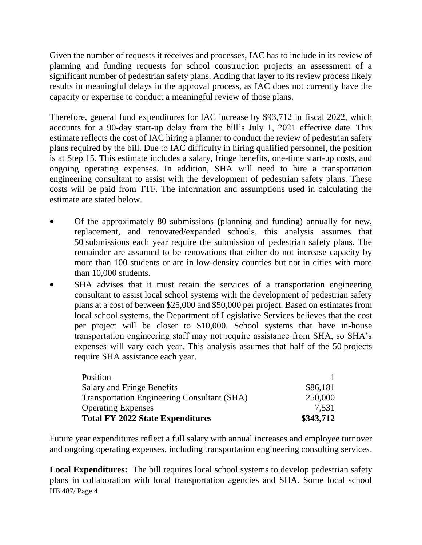Given the number of requests it receives and processes, IAC has to include in its review of planning and funding requests for school construction projects an assessment of a significant number of pedestrian safety plans. Adding that layer to its review process likely results in meaningful delays in the approval process, as IAC does not currently have the capacity or expertise to conduct a meaningful review of those plans.

Therefore, general fund expenditures for IAC increase by \$93,712 in fiscal 2022, which accounts for a 90-day start-up delay from the bill's July 1, 2021 effective date. This estimate reflects the cost of IAC hiring a planner to conduct the review of pedestrian safety plans required by the bill. Due to IAC difficulty in hiring qualified personnel, the position is at Step 15. This estimate includes a salary, fringe benefits, one-time start-up costs, and ongoing operating expenses. In addition, SHA will need to hire a transportation engineering consultant to assist with the development of pedestrian safety plans. These costs will be paid from TTF. The information and assumptions used in calculating the estimate are stated below.

- Of the approximately 80 submissions (planning and funding) annually for new, replacement, and renovated/expanded schools, this analysis assumes that 50 submissions each year require the submission of pedestrian safety plans. The remainder are assumed to be renovations that either do not increase capacity by more than 100 students or are in low-density counties but not in cities with more than 10,000 students.
- SHA advises that it must retain the services of a transportation engineering consultant to assist local school systems with the development of pedestrian safety plans at a cost of between \$25,000 and \$50,000 per project. Based on estimates from local school systems, the Department of Legislative Services believes that the cost per project will be closer to \$10,000. School systems that have in-house transportation engineering staff may not require assistance from SHA, so SHA's expenses will vary each year. This analysis assumes that half of the 50 projects require SHA assistance each year.

| Position                                           |           |
|----------------------------------------------------|-----------|
| <b>Salary and Fringe Benefits</b>                  | \$86,181  |
| <b>Transportation Engineering Consultant (SHA)</b> | 250,000   |
| <b>Operating Expenses</b>                          | 7,531     |
| <b>Total FY 2022 State Expenditures</b>            | \$343,712 |

Future year expenditures reflect a full salary with annual increases and employee turnover and ongoing operating expenses, including transportation engineering consulting services.

HB 487/ Page 4 **Local Expenditures:** The bill requires local school systems to develop pedestrian safety plans in collaboration with local transportation agencies and SHA. Some local school